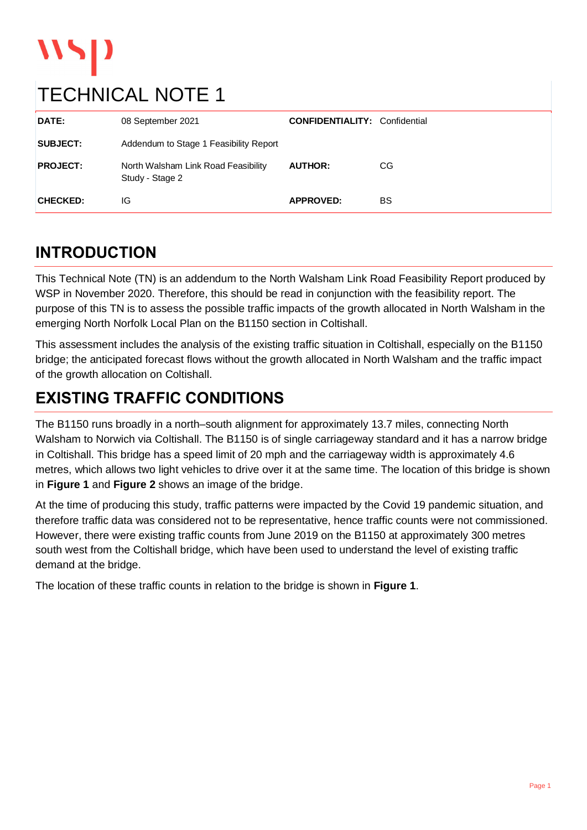# wyp

### TECHNICAL NOTE 1

| DATE:           | 08 September 2021                                      | <b>CONFIDENTIALITY: Confidential</b> |     |
|-----------------|--------------------------------------------------------|--------------------------------------|-----|
| <b>SUBJECT:</b> | Addendum to Stage 1 Feasibility Report                 |                                      |     |
| <b>PROJECT:</b> | North Walsham Link Road Feasibility<br>Study - Stage 2 | <b>AUTHOR:</b>                       | CG. |
| <b>CHECKED:</b> | IG                                                     | <b>APPROVED:</b>                     | BS  |

#### **INTRODUCTION**

This Technical Note (TN) is an addendum to the North Walsham Link Road Feasibility Report produced by WSP in November 2020. Therefore, this should be read in conjunction with the feasibility report. The purpose of this TN is to assess the possible traffic impacts of the growth allocated in North Walsham in the emerging North Norfolk Local Plan on the B1150 section in Coltishall.

This assessment includes the analysis of the existing traffic situation in Coltishall, especially on the B1150 bridge; the anticipated forecast flows without the growth allocated in North Walsham and the traffic impact of the growth allocation on Coltishall.

### **EXISTING TRAFFIC CONDITIONS**

The B1150 runs broadly in a north–south alignment for approximately 13.7 miles, connecting North Walsham to Norwich via Coltishall. The B1150 is of single carriageway standard and it has a narrow bridge in Coltishall. This bridge has a speed limit of 20 mph and the carriageway width is approximately 4.6 metres, which allows two light vehicles to drive over it at the same time. The location of this bridge is shown in **Figure 1** and **Figure 2** shows an image of the bridge.

At the time of producing this study, traffic patterns were impacted by the Covid 19 pandemic situation, and therefore traffic data was considered not to be representative, hence traffic counts were not commissioned. However, there were existing traffic counts from June 2019 on the B1150 at approximately 300 metres south west from the Coltishall bridge, which have been used to understand the level of existing traffic demand at the bridge.

The location of these traffic counts in relation to the bridge is shown in **Figure 1**.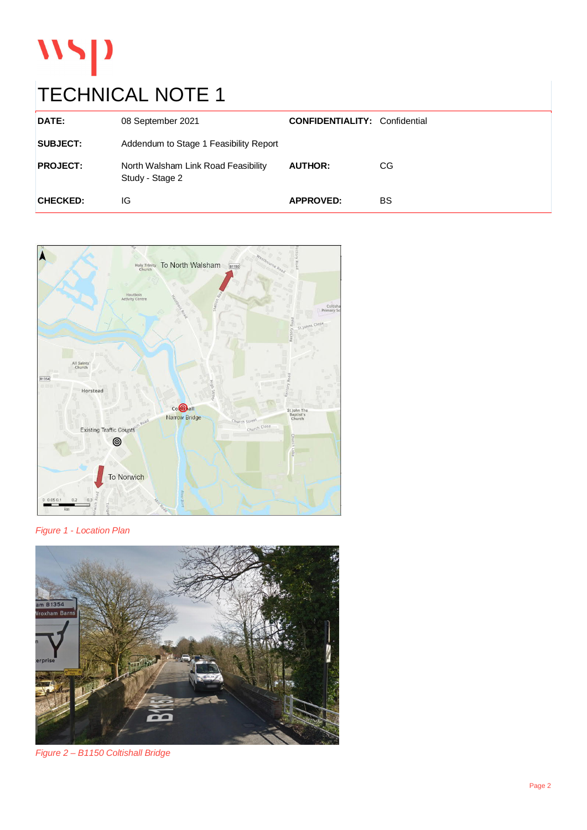# WSP

### TECHNICAL NOTE 1

| DATE:           | 08 September 2021                                      | <b>CONFIDENTIALITY: Confidential</b> |    |
|-----------------|--------------------------------------------------------|--------------------------------------|----|
| <b>SUBJECT:</b> | Addendum to Stage 1 Feasibility Report                 |                                      |    |
| <b>PROJECT:</b> | North Walsham Link Road Feasibility<br>Study - Stage 2 | <b>AUTHOR:</b>                       | CG |
| <b>CHECKED:</b> | IG                                                     | <b>APPROVED:</b>                     | BS |



*Figure 1 - Location Plan*



*Figure 2 – B1150 Coltishall Bridge*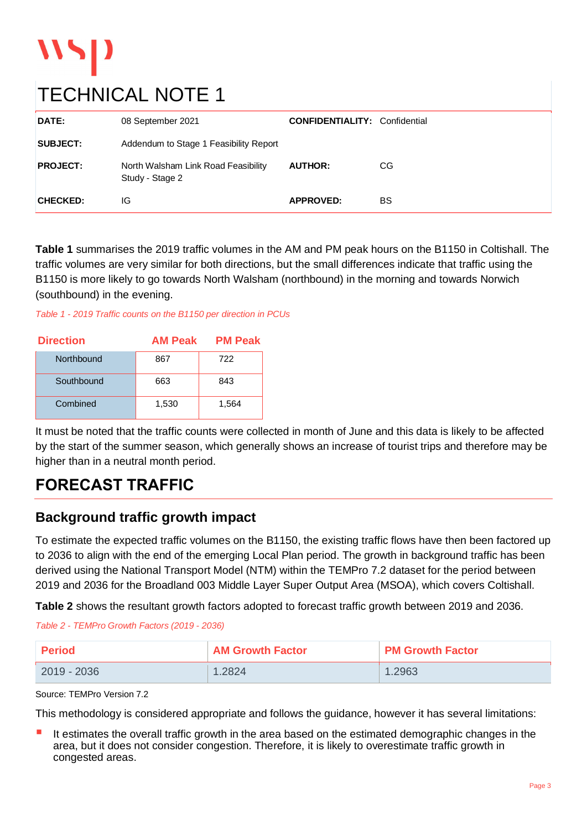## TECHNICAL NOTE 1

 $\mathbf{W}$ 

| DATE:           | 08 September 2021                                      | <b>CONFIDENTIALITY: Confidential</b> |    |
|-----------------|--------------------------------------------------------|--------------------------------------|----|
| <b>SUBJECT:</b> | Addendum to Stage 1 Feasibility Report                 |                                      |    |
| <b>PROJECT:</b> | North Walsham Link Road Feasibility<br>Study - Stage 2 | <b>AUTHOR:</b>                       | CG |
| <b>CHECKED:</b> | IG                                                     | <b>APPROVED:</b>                     | BS |

**Table 1** summarises the 2019 traffic volumes in the AM and PM peak hours on the B1150 in Coltishall. The traffic volumes are very similar for both directions, but the small differences indicate that traffic using the B1150 is more likely to go towards North Walsham (northbound) in the morning and towards Norwich (southbound) in the evening.

*Table 1 - 2019 Traffic counts on the B1150 per direction in PCUs*

| <b>Direction</b> | <b>AM Peak</b> | <b>PM Peak</b> |  |
|------------------|----------------|----------------|--|
| Northbound       | 867            | 722            |  |
| Southbound       | 663            | 843            |  |
| Combined         | 1,530          | 1,564          |  |

It must be noted that the traffic counts were collected in month of June and this data is likely to be affected by the start of the summer season, which generally shows an increase of tourist trips and therefore may be higher than in a neutral month period.

#### **FORECAST TRAFFIC**

#### **Background traffic growth impact**

To estimate the expected traffic volumes on the B1150, the existing traffic flows have then been factored up to 2036 to align with the end of the emerging Local Plan period. The growth in background traffic has been derived using the National Transport Model (NTM) within the TEMPro 7.2 dataset for the period between 2019 and 2036 for the Broadland 003 Middle Layer Super Output Area (MSOA), which covers Coltishall.

**Table 2** shows the resultant growth factors adopted to forecast traffic growth between 2019 and 2036.

*Table 2 - TEMPro Growth Factors (2019 - 2036)*

| <b>Period</b> | <b>AM Growth Factor</b> | <b>PM Growth Factor</b> |
|---------------|-------------------------|-------------------------|
| 2019 - 2036   | 1.2824                  | 1.2963                  |

Source: TEMPro Version 7.2

This methodology is considered appropriate and follows the guidance, however it has several limitations:

It estimates the overall traffic growth in the area based on the estimated demographic changes in the area, but it does not consider congestion. Therefore, it is likely to overestimate traffic growth in congested areas.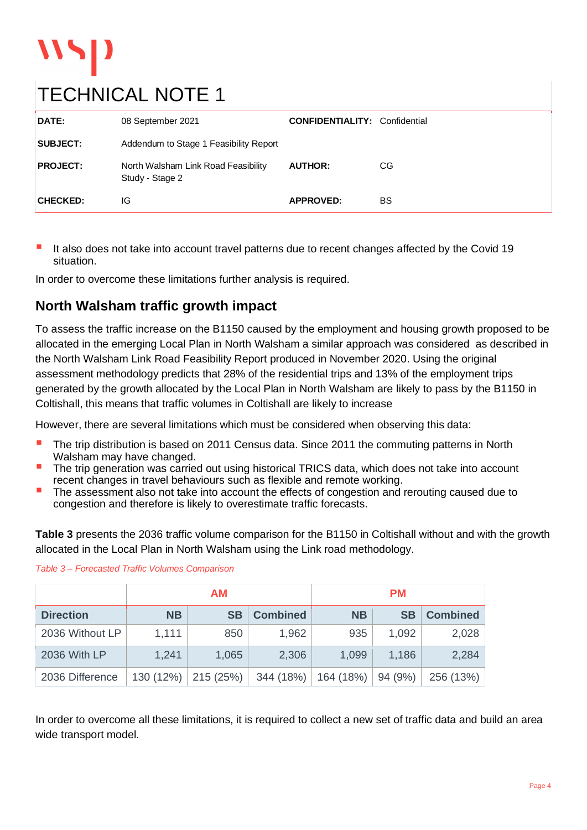### TECHNICAL NOTE 1

| DATE:           | 08 September 2021                                      | <b>CONFIDENTIALITY: Confidential</b> |    |
|-----------------|--------------------------------------------------------|--------------------------------------|----|
| <b>SUBJECT:</b> | Addendum to Stage 1 Feasibility Report                 |                                      |    |
| <b>PROJECT:</b> | North Walsham Link Road Feasibility<br>Study - Stage 2 | <b>AUTHOR:</b>                       | CG |
| <b>CHECKED:</b> | IG                                                     | <b>APPROVED:</b>                     | BS |

It also does not take into account travel patterns due to recent changes affected by the Covid 19 situation.

In order to overcome these limitations further analysis is required.

#### **North Walsham traffic growth impact**

To assess the traffic increase on the B1150 caused by the employment and housing growth proposed to be allocated in the emerging Local Plan in North Walsham a similar approach was considered as described in the North Walsham Link Road Feasibility Report produced in November 2020. Using the original assessment methodology predicts that 28% of the residential trips and 13% of the employment trips generated by the growth allocated by the Local Plan in North Walsham are likely to pass by the B1150 in Coltishall, this means that traffic volumes in Coltishall are likely to increase

However, there are several limitations which must be considered when observing this data:

- The trip distribution is based on 2011 Census data. Since 2011 the commuting patterns in North Walsham may have changed.
- The trip generation was carried out using historical TRICS data, which does not take into account recent changes in travel behaviours such as flexible and remote working.
- The assessment also not take into account the effects of congestion and rerouting caused due to congestion and therefore is likely to overestimate traffic forecasts.

**Table 3** presents the 2036 traffic volume comparison for the B1150 in Coltishall without and with the growth allocated in the Local Plan in North Walsham using the Link road methodology.

|                  | АM        |           |                 | <b>PM</b> |           |                 |
|------------------|-----------|-----------|-----------------|-----------|-----------|-----------------|
| <b>Direction</b> | <b>NB</b> | <b>SB</b> | <b>Combined</b> | <b>NB</b> | <b>SB</b> | <b>Combined</b> |
| 2036 Without LP  | 1,111     | 850       | 1,962           | 935       | 1,092     | 2,028           |
| 2036 With LP     | 1,241     | 1,065     | 2,306           | 1,099     | 1,186     | 2,284           |
| 2036 Difference  | 130 (12%) | 215 (25%) | 344 (18%)       | 164 (18%) | 94 (9%)   | 256 (13%)       |

#### *Table 3 – Forecasted Traffic Volumes Comparison*

In order to overcome all these limitations, it is required to collect a new set of traffic data and build an area wide transport model.